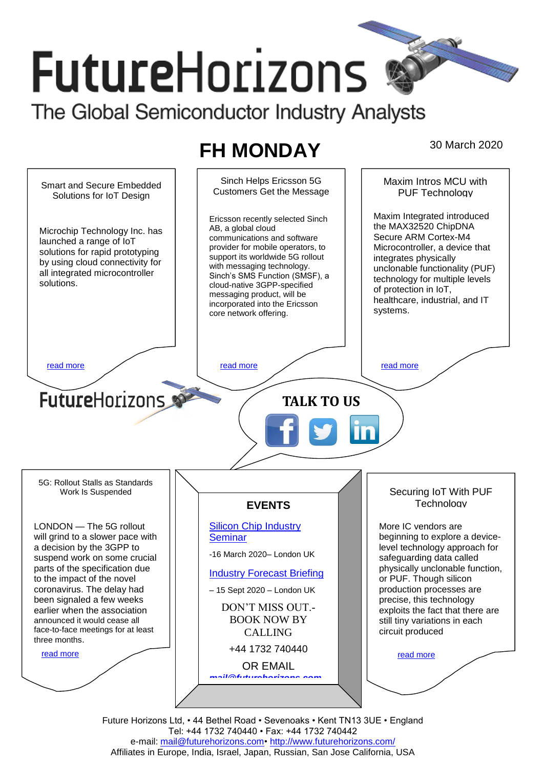# **FutureHorizons** The Global Semiconductor Industry Analysts

## **FH MONDAY** 30 March 2020

Sinch Helps Ericsson 5G Maxim Intros MCU with Smart and Secure Embedded Customers Get the Message PUF Technology Solutions for IoT Design Maxim Integrated introduced Ericsson recently selected Sinch the MAX32520 ChipDNA AB, a global cloud Microchip Technology Inc. has Secure ARM Cortex-M4 communications and software launched a range of IoT provider for mobile operators, to Microcontroller, a device that solutions for rapid prototyping support its worldwide 5G rollout integrates physically by using cloud connectivity for with messaging technology. unclonable functionality (PUF) all integrated microcontroller Sinch's SMS Function (SMSF), a technology for multiple levels solutions. cloud-native 3GPP-specified of protection in IoT, messaging product, will be healthcare, industrial, and IT incorporated into the Ericsson systems. core network offering. [read more](#page-1-1) that the second contract the second contract of the read more that the read more that the read more **Future**Horizons **TALK TO US** 5G: Rollout Stalls as Standards Securing IoT With PUF Work Is Suspended **Technology EVENTS** LONDON — The 5G rollout [Silicon Chip Industry](http://www.futurehorizons.com/page/12/silicon-chip-training)  More IC vendors are **[Seminar](http://www.futurehorizons.com/page/12/silicon-chip-training)** will grind to a slower pace with beginning to explore a devicea decision by the 3GPP to level technology approach for -16 March 2020– London UK suspend work on some crucial safeguarding data called parts of the specification due physically unclonable function, [Industry Forecast Briefing](http://www.futurehorizons.com/page/13/Semiconductor-Market-Forecast-Seminar) to the impact of the novel or PUF. Though silicon coronavirus. The delay had production processes are – 15 Sept 2020 – London UK been signaled a few weeks precise, this technology DON'T MISS OUT. earlier when the association exploits the fact that there are announced it would cease all BOOK NOW BY still tiny variations in each face-to-face meetings for at least circuit produced CALLING three months.+44 1732 740440 [read more](#page-1-3) [read more](#page-1-4) OR EMAIL *[mail@futurehorizons.com](mailto:mail@futurehorizons.com)*

> Future Horizons Ltd, • 44 Bethel Road • Sevenoaks • Kent TN13 3UE • England Tel: +44 1732 740440 • Fax: +44 1732 740442 e-mail: mail@futurehorizons.com• http://www.futurehorizons.com/ Affiliates in Europe, India, Israel, Japan, Russian, San Jose California, USA